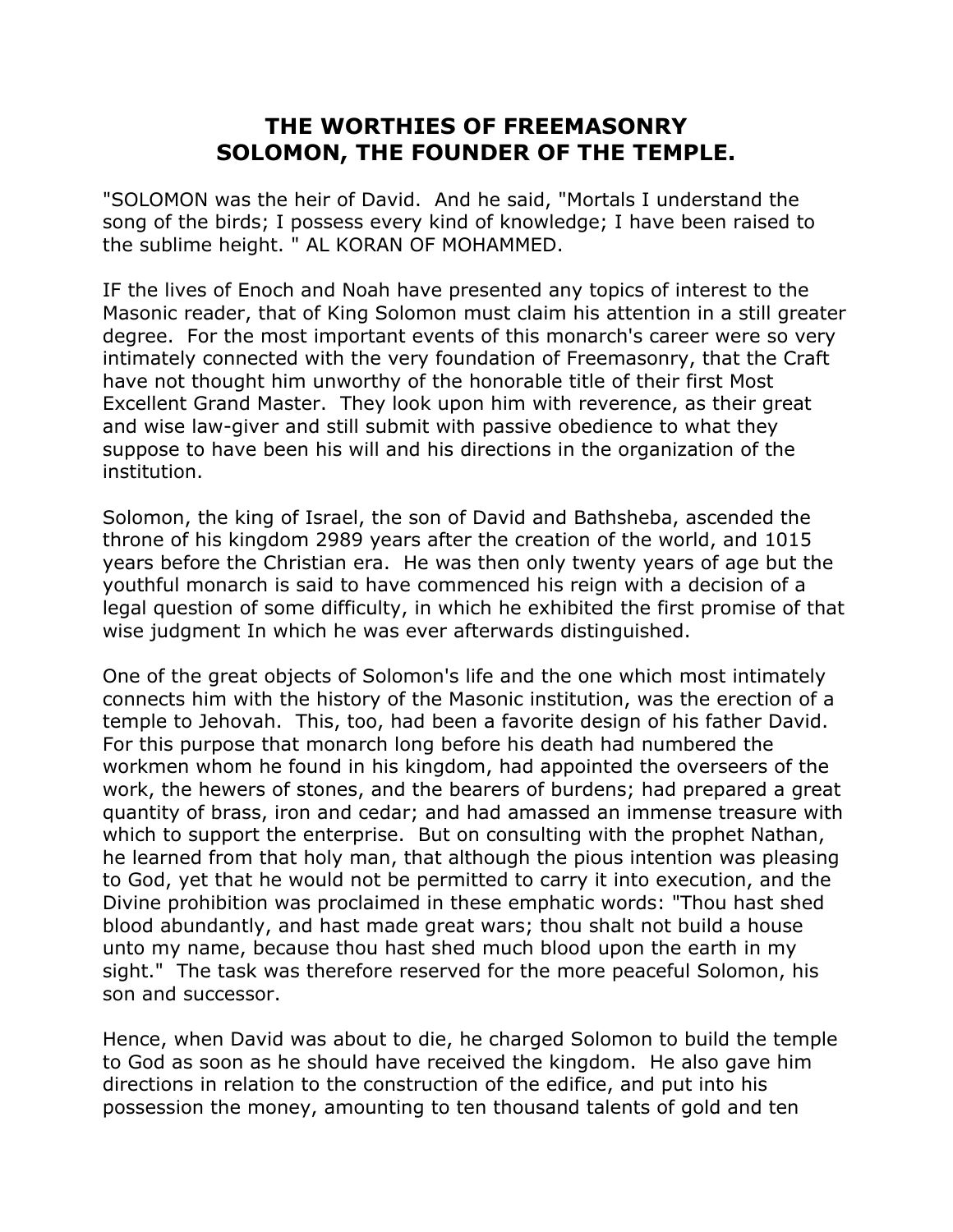## **THE WORTHIES OF FREEMASONRY SOLOMON, THE FOUNDER OF THE TEMPLE.**

"SOLOMON was the heir of David. And he said, "Mortals I understand the song of the birds; I possess every kind of knowledge; I have been raised to the sublime height. " AL KORAN OF MOHAMMED.

IF the lives of Enoch and Noah have presented any topics of interest to the Masonic reader, that of King Solomon must claim his attention in a still greater degree. For the most important events of this monarch's career were so very intimately connected with the very foundation of Freemasonry, that the Craft have not thought him unworthy of the honorable title of their first Most Excellent Grand Master. They look upon him with reverence, as their great and wise law-giver and still submit with passive obedience to what they suppose to have been his will and his directions in the organization of the institution.

Solomon, the king of Israel, the son of David and Bathsheba, ascended the throne of his kingdom 2989 years after the creation of the world, and 1015 years before the Christian era. He was then only twenty years of age but the youthful monarch is said to have commenced his reign with a decision of a legal question of some difficulty, in which he exhibited the first promise of that wise judgment In which he was ever afterwards distinguished.

One of the great objects of Solomon's life and the one which most intimately connects him with the history of the Masonic institution, was the erection of a temple to Jehovah. This, too, had been a favorite design of his father David. For this purpose that monarch long before his death had numbered the workmen whom he found in his kingdom, had appointed the overseers of the work, the hewers of stones, and the bearers of burdens; had prepared a great quantity of brass, iron and cedar; and had amassed an immense treasure with which to support the enterprise. But on consulting with the prophet Nathan, he learned from that holy man, that although the pious intention was pleasing to God, yet that he would not be permitted to carry it into execution, and the Divine prohibition was proclaimed in these emphatic words: "Thou hast shed blood abundantly, and hast made great wars; thou shalt not build a house unto my name, because thou hast shed much blood upon the earth in my sight." The task was therefore reserved for the more peaceful Solomon, his son and successor.

Hence, when David was about to die, he charged Solomon to build the temple to God as soon as he should have received the kingdom. He also gave him directions in relation to the construction of the edifice, and put into his possession the money, amounting to ten thousand talents of gold and ten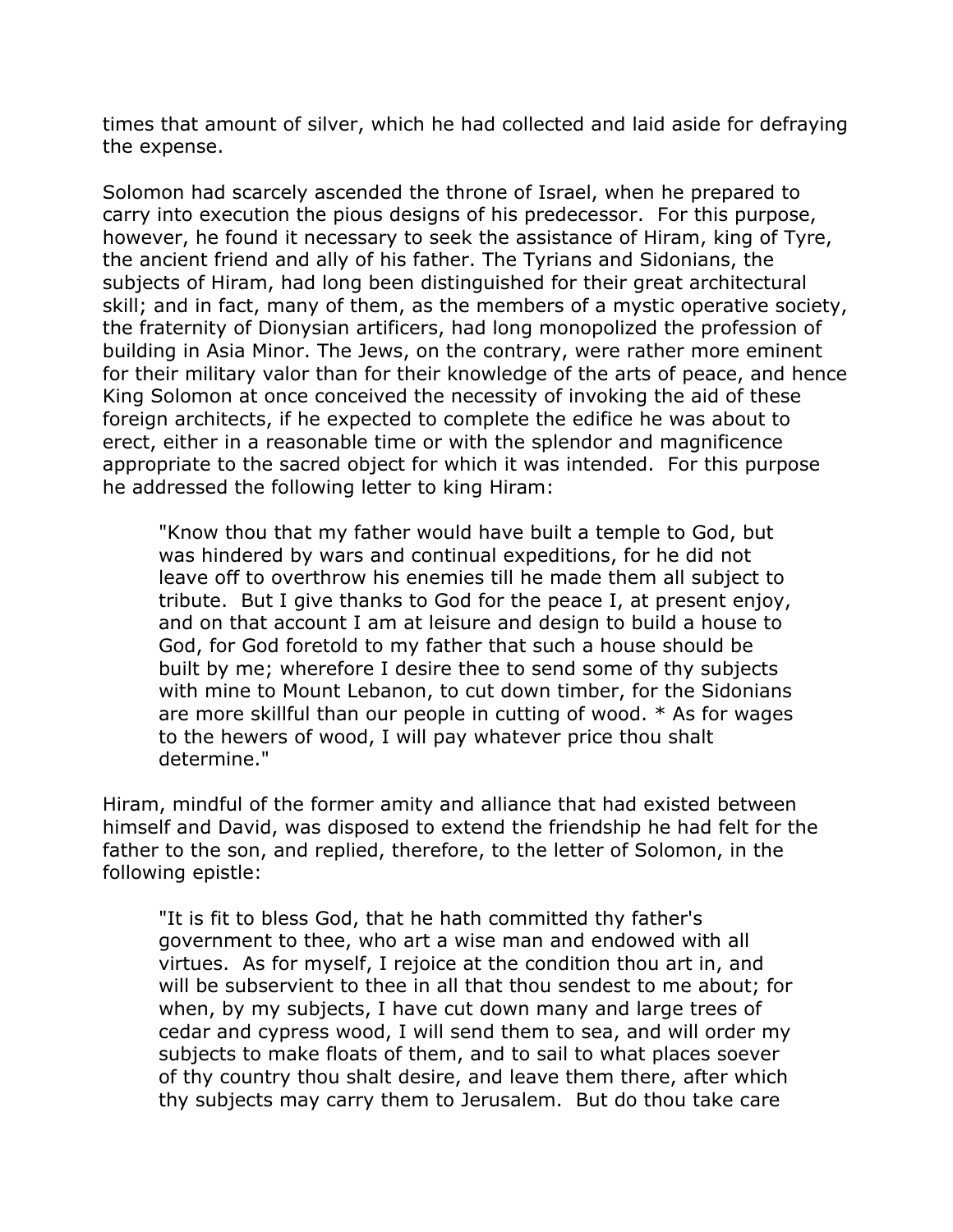times that amount of silver, which he had collected and laid aside for defraying the expense.

Solomon had scarcely ascended the throne of Israel, when he prepared to carry into execution the pious designs of his predecessor. For this purpose, however, he found it necessary to seek the assistance of Hiram, king of Tyre, the ancient friend and ally of his father. The Tyrians and Sidonians, the subjects of Hiram, had long been distinguished for their great architectural skill; and in fact, many of them, as the members of a mystic operative society, the fraternity of Dionysian artificers, had long monopolized the profession of building in Asia Minor. The Jews, on the contrary, were rather more eminent for their military valor than for their knowledge of the arts of peace, and hence King Solomon at once conceived the necessity of invoking the aid of these foreign architects, if he expected to complete the edifice he was about to erect, either in a reasonable time or with the splendor and magnificence appropriate to the sacred object for which it was intended. For this purpose he addressed the following letter to king Hiram:

"Know thou that my father would have built a temple to God, but was hindered by wars and continual expeditions, for he did not leave off to overthrow his enemies till he made them all subject to tribute. But I give thanks to God for the peace I, at present enjoy, and on that account I am at leisure and design to build a house to God, for God foretold to my father that such a house should be built by me; wherefore I desire thee to send some of thy subjects with mine to Mount Lebanon, to cut down timber, for the Sidonians are more skillful than our people in cutting of wood. \* As for wages to the hewers of wood, I will pay whatever price thou shalt determine."

Hiram, mindful of the former amity and alliance that had existed between himself and David, was disposed to extend the friendship he had felt for the father to the son, and replied, therefore, to the letter of Solomon, in the following epistle:

"It is fit to bless God, that he hath committed thy father's government to thee, who art a wise man and endowed with all virtues. As for myself, I rejoice at the condition thou art in, and will be subservient to thee in all that thou sendest to me about; for when, by my subjects, I have cut down many and large trees of cedar and cypress wood, I will send them to sea, and will order my subjects to make floats of them, and to sail to what places soever of thy country thou shalt desire, and leave them there, after which thy subjects may carry them to Jerusalem. But do thou take care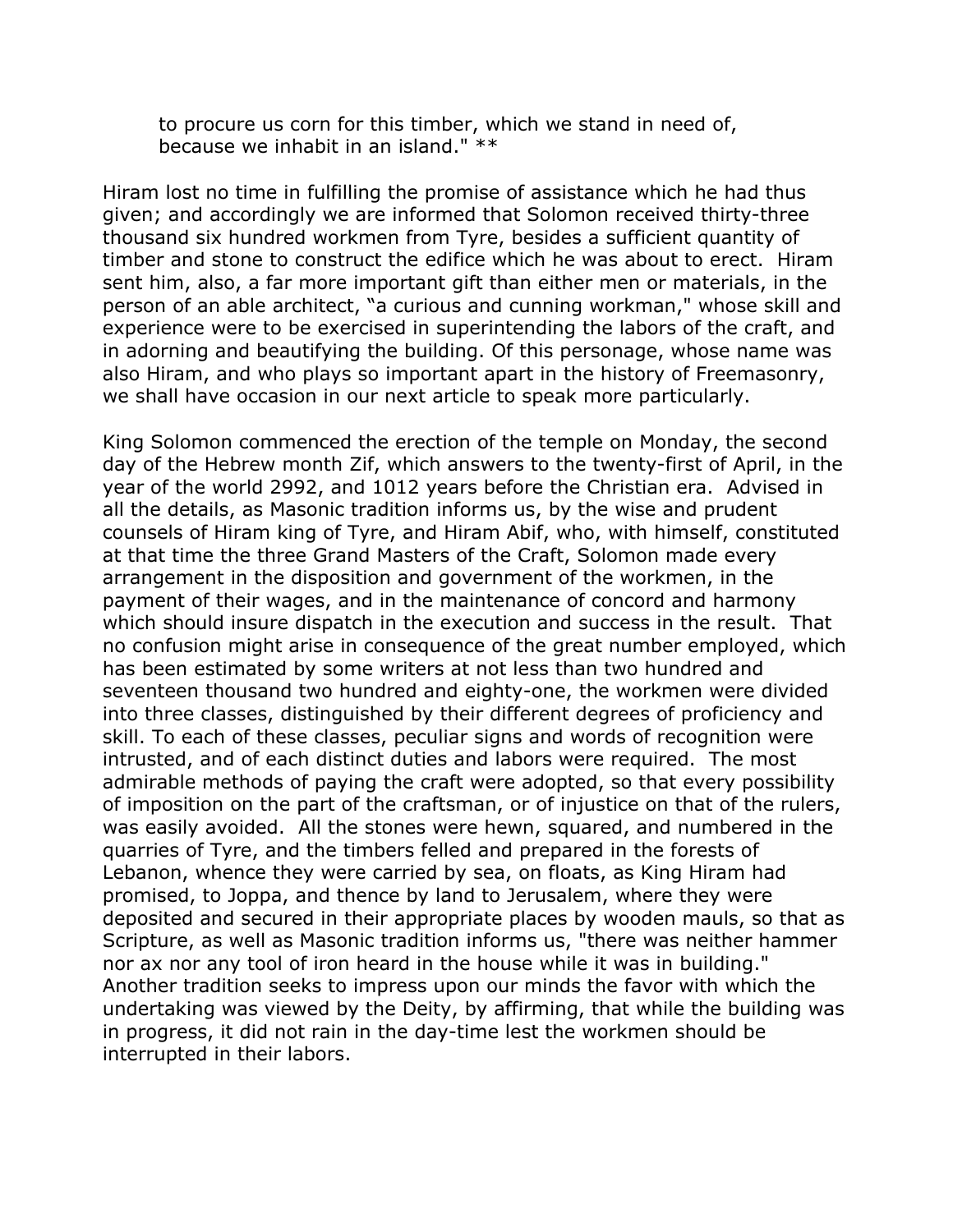to procure us corn for this timber, which we stand in need of, because we inhabit in an island." \*\*

Hiram lost no time in fulfilling the promise of assistance which he had thus given; and accordingly we are informed that Solomon received thirty-three thousand six hundred workmen from Tyre, besides a sufficient quantity of timber and stone to construct the edifice which he was about to erect. Hiram sent him, also, a far more important gift than either men or materials, in the person of an able architect, "a curious and cunning workman," whose skill and experience were to be exercised in superintending the labors of the craft, and in adorning and beautifying the building. Of this personage, whose name was also Hiram, and who plays so important apart in the history of Freemasonry, we shall have occasion in our next article to speak more particularly.

King Solomon commenced the erection of the temple on Monday, the second day of the Hebrew month Zif, which answers to the twenty-first of April, in the year of the world 2992, and 1012 years before the Christian era. Advised in all the details, as Masonic tradition informs us, by the wise and prudent counsels of Hiram king of Tyre, and Hiram Abif, who, with himself, constituted at that time the three Grand Masters of the Craft, Solomon made every arrangement in the disposition and government of the workmen, in the payment of their wages, and in the maintenance of concord and harmony which should insure dispatch in the execution and success in the result. That no confusion might arise in consequence of the great number employed, which has been estimated by some writers at not less than two hundred and seventeen thousand two hundred and eighty-one, the workmen were divided into three classes, distinguished by their different degrees of proficiency and skill. To each of these classes, peculiar signs and words of recognition were intrusted, and of each distinct duties and labors were required. The most admirable methods of paying the craft were adopted, so that every possibility of imposition on the part of the craftsman, or of injustice on that of the rulers, was easily avoided. All the stones were hewn, squared, and numbered in the quarries of Tyre, and the timbers felled and prepared in the forests of Lebanon, whence they were carried by sea, on floats, as King Hiram had promised, to Joppa, and thence by land to Jerusalem, where they were deposited and secured in their appropriate places by wooden mauls, so that as Scripture, as well as Masonic tradition informs us, "there was neither hammer nor ax nor any tool of iron heard in the house while it was in building." Another tradition seeks to impress upon our minds the favor with which the undertaking was viewed by the Deity, by affirming, that while the building was in progress, it did not rain in the day-time lest the workmen should be interrupted in their labors.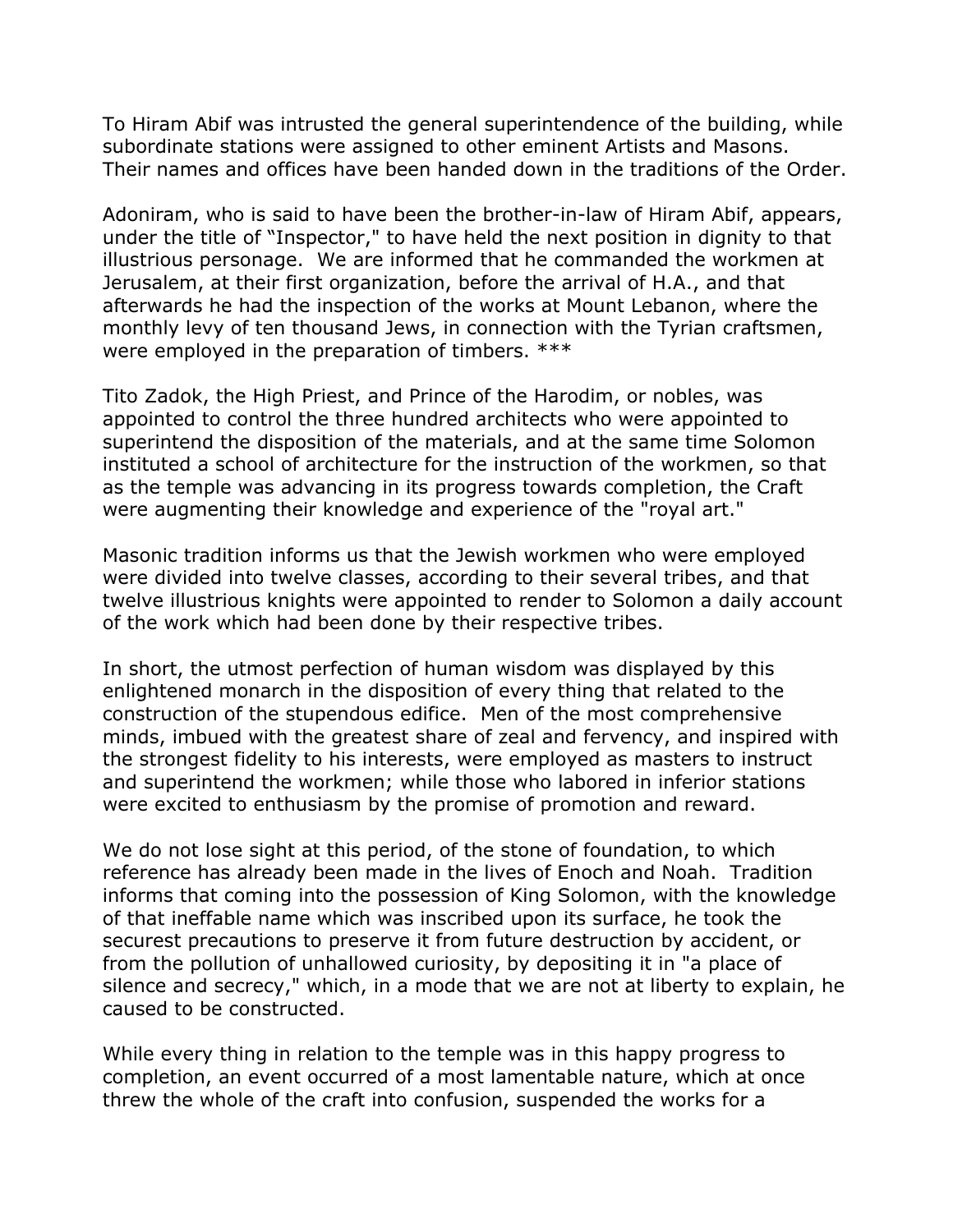To Hiram Abif was intrusted the general superintendence of the building, while subordinate stations were assigned to other eminent Artists and Masons. Their names and offices have been handed down in the traditions of the Order.

Adoniram, who is said to have been the brother-in-law of Hiram Abif, appears, under the title of "Inspector," to have held the next position in dignity to that illustrious personage. We are informed that he commanded the workmen at Jerusalem, at their first organization, before the arrival of H.A., and that afterwards he had the inspection of the works at Mount Lebanon, where the monthly levy of ten thousand Jews, in connection with the Tyrian craftsmen, were employed in the preparation of timbers. \*\*\*

Tito Zadok, the High Priest, and Prince of the Harodim, or nobles, was appointed to control the three hundred architects who were appointed to superintend the disposition of the materials, and at the same time Solomon instituted a school of architecture for the instruction of the workmen, so that as the temple was advancing in its progress towards completion, the Craft were augmenting their knowledge and experience of the "royal art."

Masonic tradition informs us that the Jewish workmen who were employed were divided into twelve classes, according to their several tribes, and that twelve illustrious knights were appointed to render to Solomon a daily account of the work which had been done by their respective tribes.

In short, the utmost perfection of human wisdom was displayed by this enlightened monarch in the disposition of every thing that related to the construction of the stupendous edifice. Men of the most comprehensive minds, imbued with the greatest share of zeal and fervency, and inspired with the strongest fidelity to his interests, were employed as masters to instruct and superintend the workmen; while those who labored in inferior stations were excited to enthusiasm by the promise of promotion and reward.

We do not lose sight at this period, of the stone of foundation, to which reference has already been made in the lives of Enoch and Noah. Tradition informs that coming into the possession of King Solomon, with the knowledge of that ineffable name which was inscribed upon its surface, he took the securest precautions to preserve it from future destruction by accident, or from the pollution of unhallowed curiosity, by depositing it in "a place of silence and secrecy," which, in a mode that we are not at liberty to explain, he caused to be constructed.

While every thing in relation to the temple was in this happy progress to completion, an event occurred of a most lamentable nature, which at once threw the whole of the craft into confusion, suspended the works for a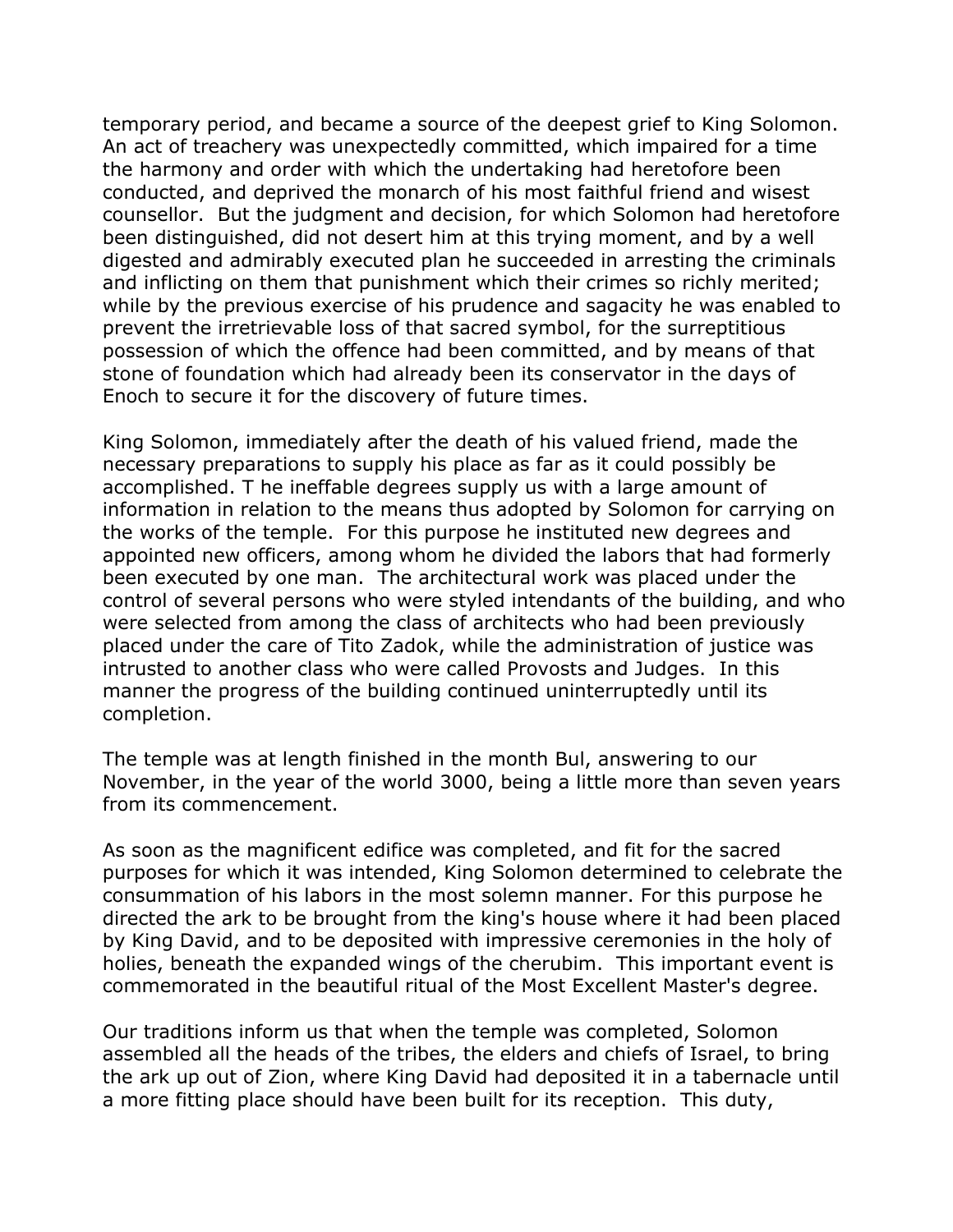temporary period, and became a source of the deepest grief to King Solomon. An act of treachery was unexpectedly committed, which impaired for a time the harmony and order with which the undertaking had heretofore been conducted, and deprived the monarch of his most faithful friend and wisest counsellor. But the judgment and decision, for which Solomon had heretofore been distinguished, did not desert him at this trying moment, and by a well digested and admirably executed plan he succeeded in arresting the criminals and inflicting on them that punishment which their crimes so richly merited; while by the previous exercise of his prudence and sagacity he was enabled to prevent the irretrievable loss of that sacred symbol, for the surreptitious possession of which the offence had been committed, and by means of that stone of foundation which had already been its conservator in the days of Enoch to secure it for the discovery of future times.

King Solomon, immediately after the death of his valued friend, made the necessary preparations to supply his place as far as it could possibly be accomplished. T he ineffable degrees supply us with a large amount of information in relation to the means thus adopted by Solomon for carrying on the works of the temple. For this purpose he instituted new degrees and appointed new officers, among whom he divided the labors that had formerly been executed by one man. The architectural work was placed under the control of several persons who were styled intendants of the building, and who were selected from among the class of architects who had been previously placed under the care of Tito Zadok, while the administration of justice was intrusted to another class who were called Provosts and Judges. In this manner the progress of the building continued uninterruptedly until its completion.

The temple was at length finished in the month Bul, answering to our November, in the year of the world 3000, being a little more than seven years from its commencement.

As soon as the magnificent edifice was completed, and fit for the sacred purposes for which it was intended, King Solomon determined to celebrate the consummation of his labors in the most solemn manner. For this purpose he directed the ark to be brought from the king's house where it had been placed by King David, and to be deposited with impressive ceremonies in the holy of holies, beneath the expanded wings of the cherubim. This important event is commemorated in the beautiful ritual of the Most Excellent Master's degree.

Our traditions inform us that when the temple was completed, Solomon assembled all the heads of the tribes, the elders and chiefs of Israel, to bring the ark up out of Zion, where King David had deposited it in a tabernacle until a more fitting place should have been built for its reception. This duty,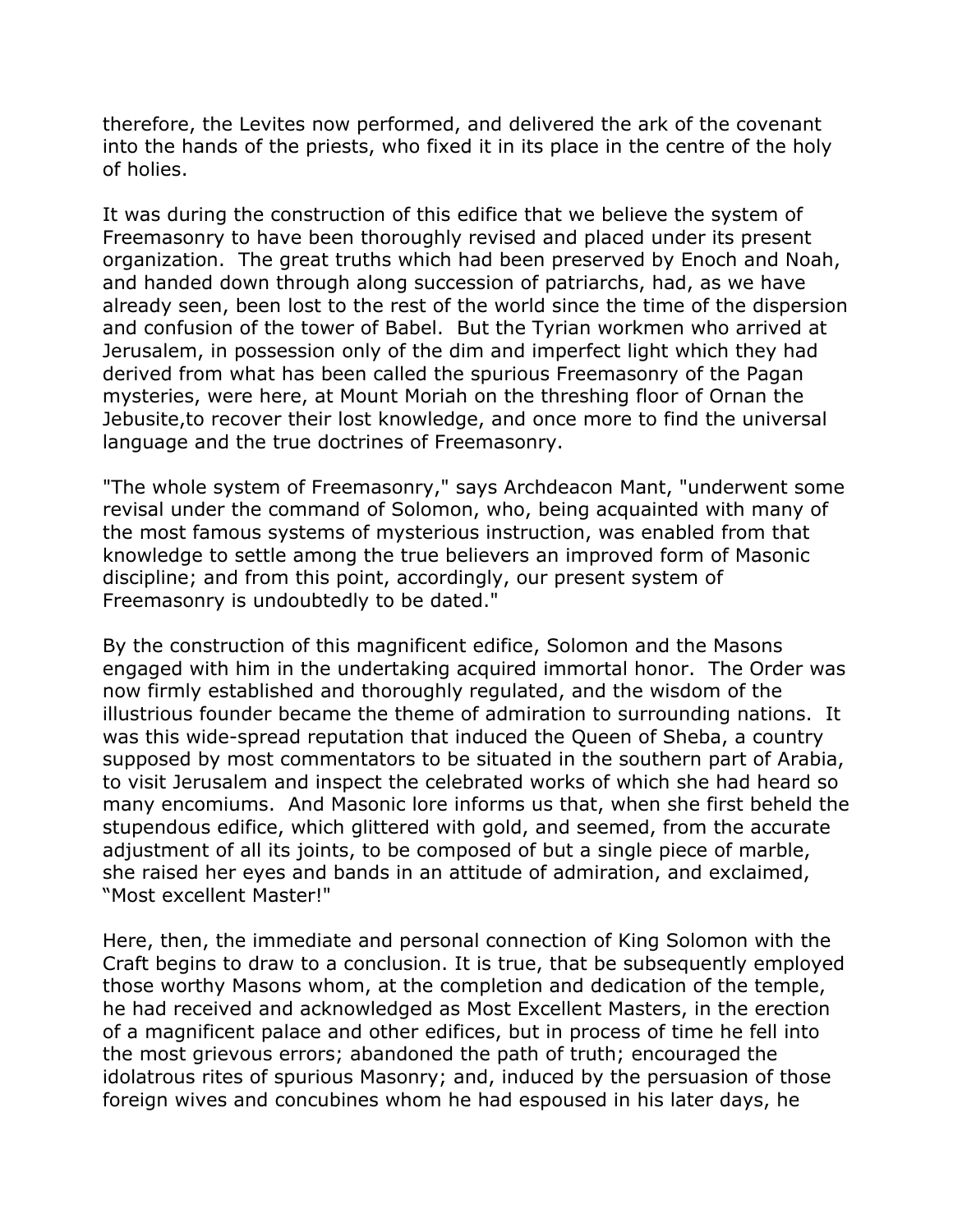therefore, the Levites now performed, and delivered the ark of the covenant into the hands of the priests, who fixed it in its place in the centre of the holy of holies.

It was during the construction of this edifice that we believe the system of Freemasonry to have been thoroughly revised and placed under its present organization. The great truths which had been preserved by Enoch and Noah, and handed down through along succession of patriarchs, had, as we have already seen, been lost to the rest of the world since the time of the dispersion and confusion of the tower of Babel. But the Tyrian workmen who arrived at Jerusalem, in possession only of the dim and imperfect light which they had derived from what has been called the spurious Freemasonry of the Pagan mysteries, were here, at Mount Moriah on the threshing floor of Ornan the Jebusite,to recover their lost knowledge, and once more to find the universal language and the true doctrines of Freemasonry.

"The whole system of Freemasonry," says Archdeacon Mant, "underwent some revisal under the command of Solomon, who, being acquainted with many of the most famous systems of mysterious instruction, was enabled from that knowledge to settle among the true believers an improved form of Masonic discipline; and from this point, accordingly, our present system of Freemasonry is undoubtedly to be dated."

By the construction of this magnificent edifice, Solomon and the Masons engaged with him in the undertaking acquired immortal honor. The Order was now firmly established and thoroughly regulated, and the wisdom of the illustrious founder became the theme of admiration to surrounding nations. It was this wide-spread reputation that induced the Queen of Sheba, a country supposed by most commentators to be situated in the southern part of Arabia, to visit Jerusalem and inspect the celebrated works of which she had heard so many encomiums. And Masonic lore informs us that, when she first beheld the stupendous edifice, which glittered with gold, and seemed, from the accurate adjustment of all its joints, to be composed of but a single piece of marble, she raised her eyes and bands in an attitude of admiration, and exclaimed, "Most excellent Master!"

Here, then, the immediate and personal connection of King Solomon with the Craft begins to draw to a conclusion. It is true, that be subsequently employed those worthy Masons whom, at the completion and dedication of the temple, he had received and acknowledged as Most Excellent Masters, in the erection of a magnificent palace and other edifices, but in process of time he fell into the most grievous errors; abandoned the path of truth; encouraged the idolatrous rites of spurious Masonry; and, induced by the persuasion of those foreign wives and concubines whom he had espoused in his later days, he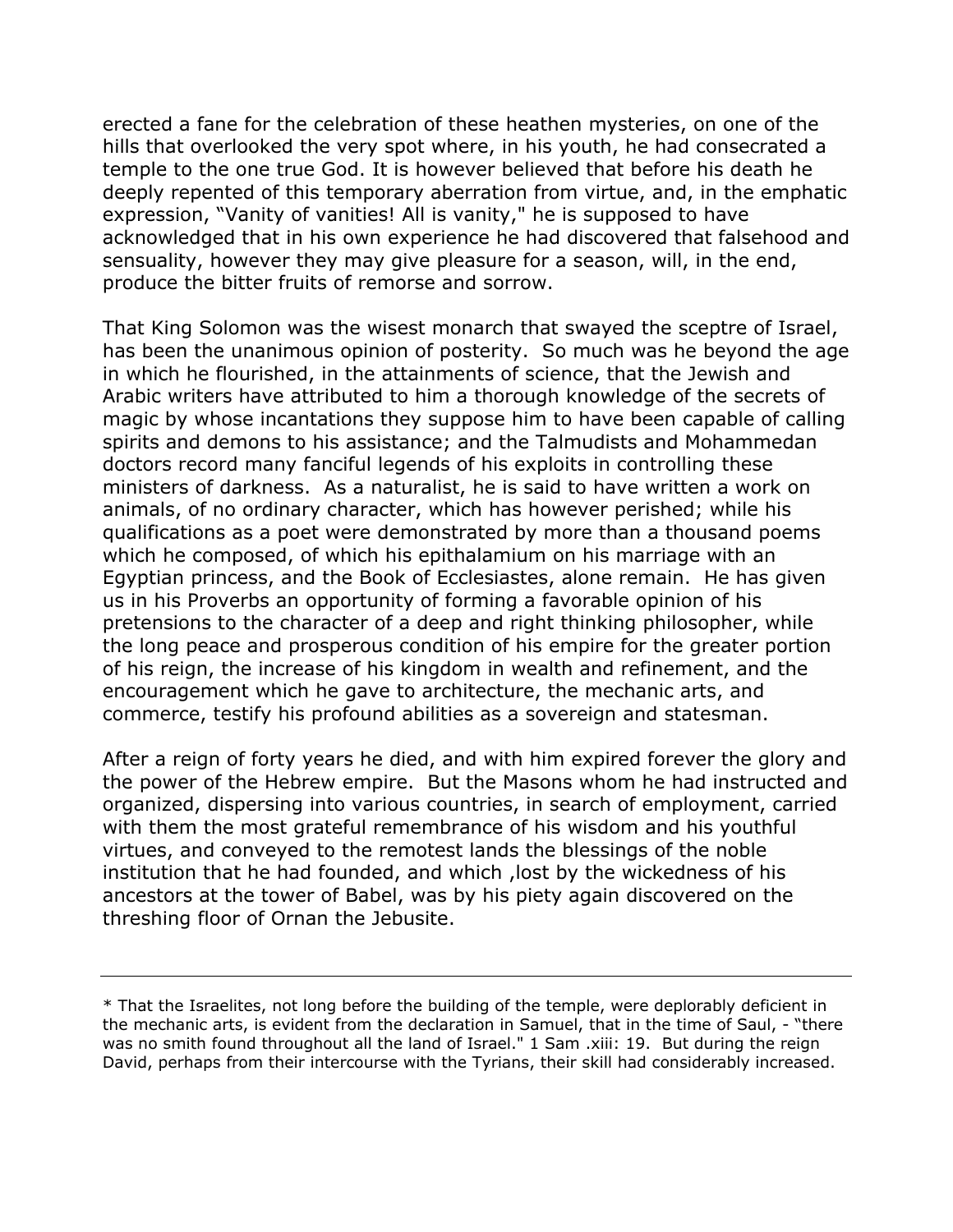erected a fane for the celebration of these heathen mysteries, on one of the hills that overlooked the very spot where, in his youth, he had consecrated a temple to the one true God. It is however believed that before his death he deeply repented of this temporary aberration from virtue, and, in the emphatic expression, "Vanity of vanities! All is vanity," he is supposed to have acknowledged that in his own experience he had discovered that falsehood and sensuality, however they may give pleasure for a season, will, in the end, produce the bitter fruits of remorse and sorrow.

That King Solomon was the wisest monarch that swayed the sceptre of Israel, has been the unanimous opinion of posterity. So much was he beyond the age in which he flourished, in the attainments of science, that the Jewish and Arabic writers have attributed to him a thorough knowledge of the secrets of magic by whose incantations they suppose him to have been capable of calling spirits and demons to his assistance; and the Talmudists and Mohammedan doctors record many fanciful legends of his exploits in controlling these ministers of darkness. As a naturalist, he is said to have written a work on animals, of no ordinary character, which has however perished; while his qualifications as a poet were demonstrated by more than a thousand poems which he composed, of which his epithalamium on his marriage with an Egyptian princess, and the Book of Ecclesiastes, alone remain. He has given us in his Proverbs an opportunity of forming a favorable opinion of his pretensions to the character of a deep and right thinking philosopher, while the long peace and prosperous condition of his empire for the greater portion of his reign, the increase of his kingdom in wealth and refinement, and the encouragement which he gave to architecture, the mechanic arts, and commerce, testify his profound abilities as a sovereign and statesman.

After a reign of forty years he died, and with him expired forever the glory and the power of the Hebrew empire. But the Masons whom he had instructed and organized, dispersing into various countries, in search of employment, carried with them the most grateful remembrance of his wisdom and his youthful virtues, and conveyed to the remotest lands the blessings of the noble institution that he had founded, and which ,lost by the wickedness of his ancestors at the tower of Babel, was by his piety again discovered on the threshing floor of Ornan the Jebusite.

<sup>\*</sup> That the Israelites, not long before the building of the temple, were deplorably deficient in the mechanic arts, is evident from the declaration in Samuel, that in the time of Saul, - "there was no smith found throughout all the land of Israel." 1 Sam .xiii: 19. But during the reign David, perhaps from their intercourse with the Tyrians, their skill had considerably increased.